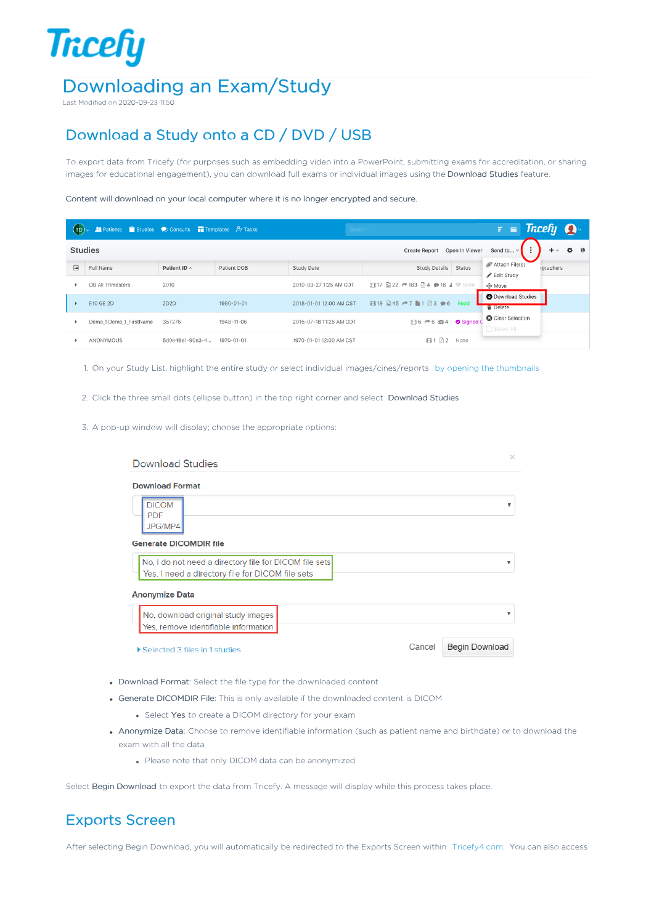## **Tricefy** Downloading an Exam/Study

Last Modified on 2020-09-23 11:50

## Download a Study onto a CD / DVD / USB

To export data from Tricefy (for purposes such as embedding video into a PowerPoint, submitting exams for accreditation, or sharing images for educational engagement), you can download full exams or individual images using the Download Studies feature.

Content will download on your local computer where it is no longer encrypted and secure.

| $-$ (Ip) $\sim$                                          | <b>Report Follows</b> Studies Consults <b>Templates</b> Principles |                    |             | Search                  |                                       |        | $\equiv$ $\equiv$ Tricefy $\Omega$         |                        |           |
|----------------------------------------------------------|--------------------------------------------------------------------|--------------------|-------------|-------------------------|---------------------------------------|--------|--------------------------------------------|------------------------|-----------|
| <b>Studies</b><br>Open In Viewer<br><b>Create Report</b> |                                                                    |                    |             |                         |                                       |        | $\ddot{\phantom{a}}$<br>Send to ~          | $+ \vee$               | $\bullet$ |
| $\left  \frac{1}{2} \right $                             | Full Name                                                          | Patient ID $\land$ | Patient DOB | Study Date              | Study Details                         | Status | Attach File(s)<br>Edit Study               | <i><b>graphers</b></i> |           |
|                                                          | OB All Trimesters                                                  | 2010               |             | 2010-03-27 1:25 AM CDT  | <b>日17 国22 → 183 回4 → 18 4 ♥ Seen</b> |        | $\oplus$ Move                              |                        |           |
|                                                          | E10 GE 2D                                                          | 2D2D               | 1990-01-01  | 2018-01-01 12:00 AM CST | <b>日19 日45 户7 ■1 日3 ●6 Read</b>       |        | <b>O</b> Download Studies<br><b>Delete</b> |                        |           |
|                                                          | Demo 1 Demo 1 FirstName                                            | 357276             | 1948-11-06  | 2016-07-18 11:26 AM CDT | <b>EB6 →6 tB4</b> Signed              |        | <b>8</b> Clear Selection<br>Select All     |                        |           |
| ٠                                                        | ANONYMOUS                                                          | 5d0e46e1-90e3-4    | 1970-01-01  | 1970-01-01 12:00 AM CST | 四2<br>91                              | None   |                                            |                        |           |

1. On your Study List, highlight the entire study or select individual images/cines/reports by opening the thumbnails

2. Click the three small dots (ellipse button) in the top right corner and select Download Studies

3. A pop-up window will display; choose the appropriate options:

| <b>Download Studies</b>                                                                                         |        | $\times$                 |  |  |  |  |
|-----------------------------------------------------------------------------------------------------------------|--------|--------------------------|--|--|--|--|
| <b>Download Format</b><br><b>DICOM</b><br><b>PDF</b><br>JPG/MP4                                                 |        |                          |  |  |  |  |
| <b>Generate DICOMDIR file</b>                                                                                   |        |                          |  |  |  |  |
| No, I do not need a directory file for DICOM file sets<br>▼<br>Yes, I need a directory file for DICOM file sets |        |                          |  |  |  |  |
| <b>Anonymize Data</b>                                                                                           |        |                          |  |  |  |  |
| No, download original study images<br>Yes, remove identifiable information                                      |        | $\overline{\phantom{a}}$ |  |  |  |  |
| ▶ Selected 3 files in 1 studies                                                                                 | Cancel | <b>Begin Download</b>    |  |  |  |  |

- Download Format: Select the file type for the downloaded content
- Generate DICOMDIR File: This is only available if the downloaded content is DICOM
	- Select Yes to create a DICOM directory for your exam
- Anonymize Data: Choose to remove identifiable information (such as patient name and birthdate) or to download the exam with all the data
	- Please note that only DICOM data can be anonymized

Select Begin Download to export the data from Tricefy. A message will display while this process takes place.

## Exports Screen

After selecting Begin Download, you will automatically be redirected to the Exports Screen within Tricefy4.com. You can also access